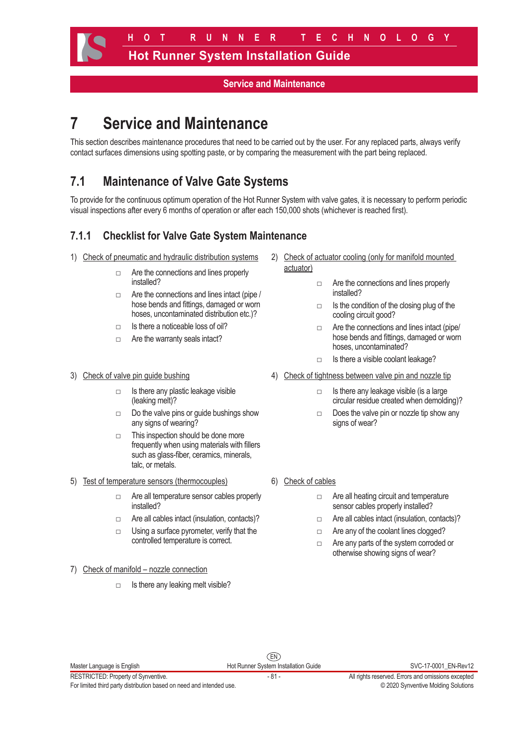#### **Service and Maintenance**

# **7 Service and Maintenance**

This section describes maintenance procedures that need to be carried out by the user. For any replaced parts, always verify contact surfaces dimensions using spotting paste, or by comparing the measurement with the part being replaced.

# **7.1 Maintenance of Valve Gate Systems**

To provide for the continuous optimum operation of the Hot Runner System with valve gates, it is necessary to perform periodic visual inspections after every 6 months of operation or after each 150,000 shots (whichever is reached first).

## **7.1.1 Checklist for Valve Gate System Maintenance**

- 1) Check of pneumatic and hydraulic distribution systems
	- □ Are the connections and lines properly installed?
	- □ Are the connections and lines intact (pipe / hose bends and fittings, damaged or worn hoses, uncontaminated distribution etc.)?
	- $\neg$  Is there a noticeable loss of oil?
	- □ Are the warranty seals intact?

#### 3) Check of valve pin guide bushing

- $\Box$  Is there any plastic leakage visible (leaking melt)?
- $\Box$  Do the valve pins or guide bushings show any signs of wearing?
- □ This inspection should be done more frequently when using materials with fillers such as glass-fiber, ceramics, minerals, talc, or metals.
- 5) Test of temperature sensors (thermocouples)
	- □ Are all temperature sensor cables properly installed?
	- □ Are all cables intact (insulation, contacts)?
	- □ Using a surface pyrometer, verify that the controlled temperature is correct.
- 7) Check of manifold nozzle connection
	- □ Is there any leaking melt visible?
- 2) Check of actuator cooling (only for manifold mounted actuator)
	- □ Are the connections and lines properly installed?
	- $\Box$  Is the condition of the closing plug of the cooling circuit good?
	- □ Are the connections and lines intact (pipe/ hose bends and fittings, damaged or worn hoses, uncontaminated?
	- □ Is there a visible coolant leakage?
- 4) Check of tightness between valve pin and nozzle tip
	- $\Box$  Is there any leakage visible (is a large circular residue created when demolding)?
	- $\Box$  Does the valve pin or nozzle tip show any signs of wear?
- 6) Check of cables
	- □ Are all heating circuit and temperature sensor cables properly installed?
	- □ Are all cables intact (insulation, contacts)?
	- □ Are any of the coolant lines clogged?
	- □ Are any parts of the system corroded or otherwise showing signs of wear?